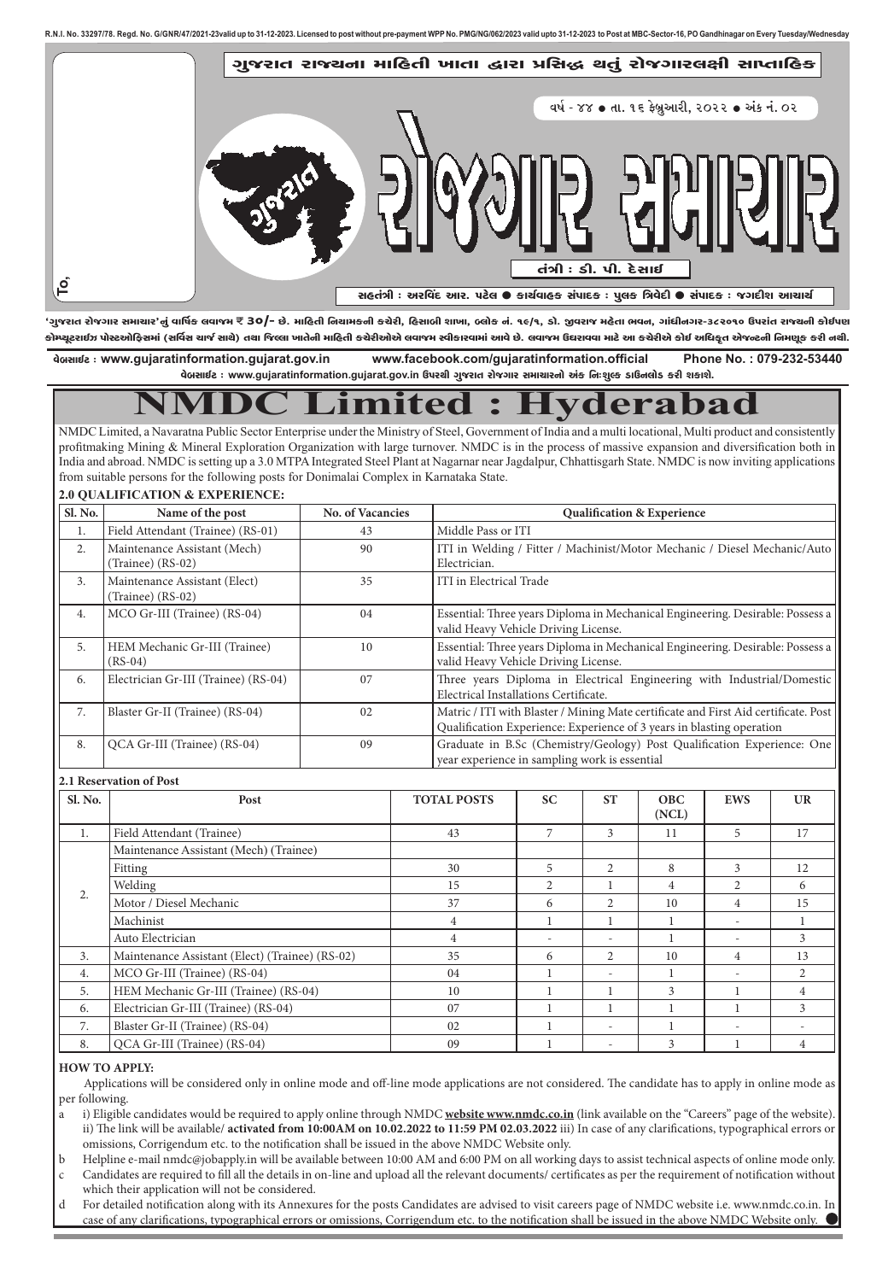

'ગુજરાત રોજગાર સમાચાર'નું વાર્ષિ<del>ક</del> લવાજમ ₹ 30/- છે. માહિતી નિચામકની કચેરી, હિસાબી શાખા, બ્લોક નં. ૧૯/૧, ડો. જીવરાજ મહેતા ભવન, ગાંધીનગર-૩૮૨૦૧૦ ઉપરાંત રાજ્યની કોઈપણ કોમ્પ્યૂટરાઈઝ પોસ્ટઓફિસમાં (સર્વિસ ચાર્જ સાથે) તથા જિલ્લા ખાતેની માહિતી કચેરીઓએ લવાજમ રવીકારવામાં આવે એમ કચેરીઓ એઇ અધિકૃત એજન્ટની નિમણુક કરી નથી.

d<sub>Graug</sub> : www.gujaratinformation.gujarat.gov.in www.facebook.com/gujaratinformation.official Phone No. : 079-232-53440 dબસાઈટ : www.gujaratinformation.gujarat.gov.in ઉપરથી ગુજરાત રોજગાર સમાચારનો અં<del>ક</del> નિઃશુલ્ક ડાઉનલોડ કરી શકાશે.

# **nited : Hydera**

NMDC Limited, a Navaratna Public Sector Enterprise under the Ministry of Steel, Government of India and a multi locational, Multi product and consistently profitmaking Mining & Mineral Exploration Organization with large turnover. NMDC is in the process of massive expansion and diversification both in India and abroad. NMDC is setting up a 3.0 MTPA Integrated Steel Plant at Nagarnar near Jagdalpur, Chhattisgarh State. NMDC is now inviting applications from suitable persons for the following posts for Donimalai Complex in Karnataka State.

#### **2.0 QUALIFICATION & EXPERIENCE:**

| Sl. No. | Name of the post                                   | <b>No. of Vacancies</b> | <b>Qualification &amp; Experience</b>                                                                                                                        |
|---------|----------------------------------------------------|-------------------------|--------------------------------------------------------------------------------------------------------------------------------------------------------------|
| 1.      | Field Attendant (Trainee) (RS-01)                  | 43                      | Middle Pass or ITI                                                                                                                                           |
| 2.      | Maintenance Assistant (Mech)<br>(Trainee) (RS-02)  | 90                      | ITI in Welding / Fitter / Machinist/Motor Mechanic / Diesel Mechanic/Auto<br>Electrician.                                                                    |
| 3.      | Maintenance Assistant (Elect)<br>(Trainee) (RS-02) | 35                      | ITI in Electrical Trade                                                                                                                                      |
| 4.      | MCO Gr-III (Trainee) (RS-04)                       | 04                      | Essential: Three years Diploma in Mechanical Engineering. Desirable: Possess a<br>valid Heavy Vehicle Driving License.                                       |
| 5.      | HEM Mechanic Gr-III (Trainee)<br>$(RS-04)$         | 10                      | Essential: Three years Diploma in Mechanical Engineering. Desirable: Possess a<br>valid Heavy Vehicle Driving License.                                       |
| 6.      | Electrician Gr-III (Trainee) (RS-04)               | 07                      | Three years Diploma in Electrical Engineering with Industrial/Domestic<br>Electrical Installations Certificate.                                              |
| 7.      | Blaster Gr-II (Trainee) (RS-04)                    | 02                      | Matric / ITI with Blaster / Mining Mate certificate and First Aid certificate. Post<br>Qualification Experience: Experience of 3 years in blasting operation |
| 8.      | QCA Gr-III (Trainee) (RS-04)                       | 09                      | Graduate in B.Sc (Chemistry/Geology) Post Qualification Experience: One<br>year experience in sampling work is essential                                     |

#### **2.1 Reservation of Post**

| Sl. No. | Post                                            | <b>TOTAL POSTS</b> | <b>SC</b>                | <b>ST</b>                | <b>OBC</b><br>(NCL) | <b>EWS</b>               | <b>UR</b>      |
|---------|-------------------------------------------------|--------------------|--------------------------|--------------------------|---------------------|--------------------------|----------------|
| 1.      | Field Attendant (Trainee)                       | 43                 | 7                        | 3                        | 11                  | 5                        | 17             |
|         | Maintenance Assistant (Mech) (Trainee)          |                    |                          |                          |                     |                          |                |
|         | Fitting                                         | 30                 | 5                        | $\overline{2}$           | 8                   | 3                        | 12             |
|         | Welding                                         | 15                 | $\overline{2}$           |                          | 4                   | $\overline{2}$           | 6              |
| 2.      | Motor / Diesel Mechanic                         | 37                 | 6                        | 2                        | 10                  | 4                        | 15             |
|         | Machinist                                       | 4                  |                          |                          |                     | $\overline{\phantom{0}}$ |                |
|         | Auto Electrician                                | $\overline{4}$     | $\overline{\phantom{a}}$ | $\overline{\phantom{a}}$ |                     | $\overline{\phantom{0}}$ | 3              |
| 3.      | Maintenance Assistant (Elect) (Trainee) (RS-02) | 35                 | 6                        | $\overline{2}$           | 10                  | $\overline{4}$           | 13             |
| 4.      | MCO Gr-III (Trainee) (RS-04)                    | 04                 |                          | $\overline{\phantom{a}}$ |                     | $\overline{\phantom{a}}$ | 2              |
| 5.      | HEM Mechanic Gr-III (Trainee) (RS-04)           | 10                 |                          |                          | 3                   |                          | $\overline{4}$ |
| 6.      | Electrician Gr-III (Trainee) (RS-04)            | 07                 |                          |                          |                     |                          | $\overline{3}$ |
| 7.      | Blaster Gr-II (Trainee) (RS-04)                 | 02                 |                          | $\overline{\phantom{a}}$ |                     | $\overline{\phantom{a}}$ |                |
| 8.      | QCA Gr-III (Trainee) (RS-04)                    | 09                 |                          | $\overline{\phantom{a}}$ | 3                   |                          | 4              |

#### **HOW TO APPLY:**

 Applications will be considered only in online mode and off-line mode applications are not considered. The candidate has to apply in online mode as per following.

- a i) Eligible candidates would be required to apply online through NMDC **website www.nmdc.co.in** (link available on the "Careers" page of the website). ii) The link will be available/ **activated from 10:00AM on 10.02.2022 to 11:59 PM 02.03.2022** iii) In case of any clarifications, typographical errors or omissions, Corrigendum etc. to the notification shall be issued in the above NMDC Website only.
- b Helpline e-mail nmdc@jobapply.in will be available between 10:00 AM and 6:00 PM on all working days to assist technical aspects of online mode only.
- c Candidates are required to fill all the details in on-line and upload all the relevant documents/ certificates as per the requirement of notification without which their application will not be considered.
- d For detailed notification along with its Annexures for the posts Candidates are advised to visit careers page of NMDC website i.e. www.nmdc.co.in. In case of any clarifications, typographical errors or omissions, Corrigendum etc. to the notification shall be issued in the above NMDC Website only.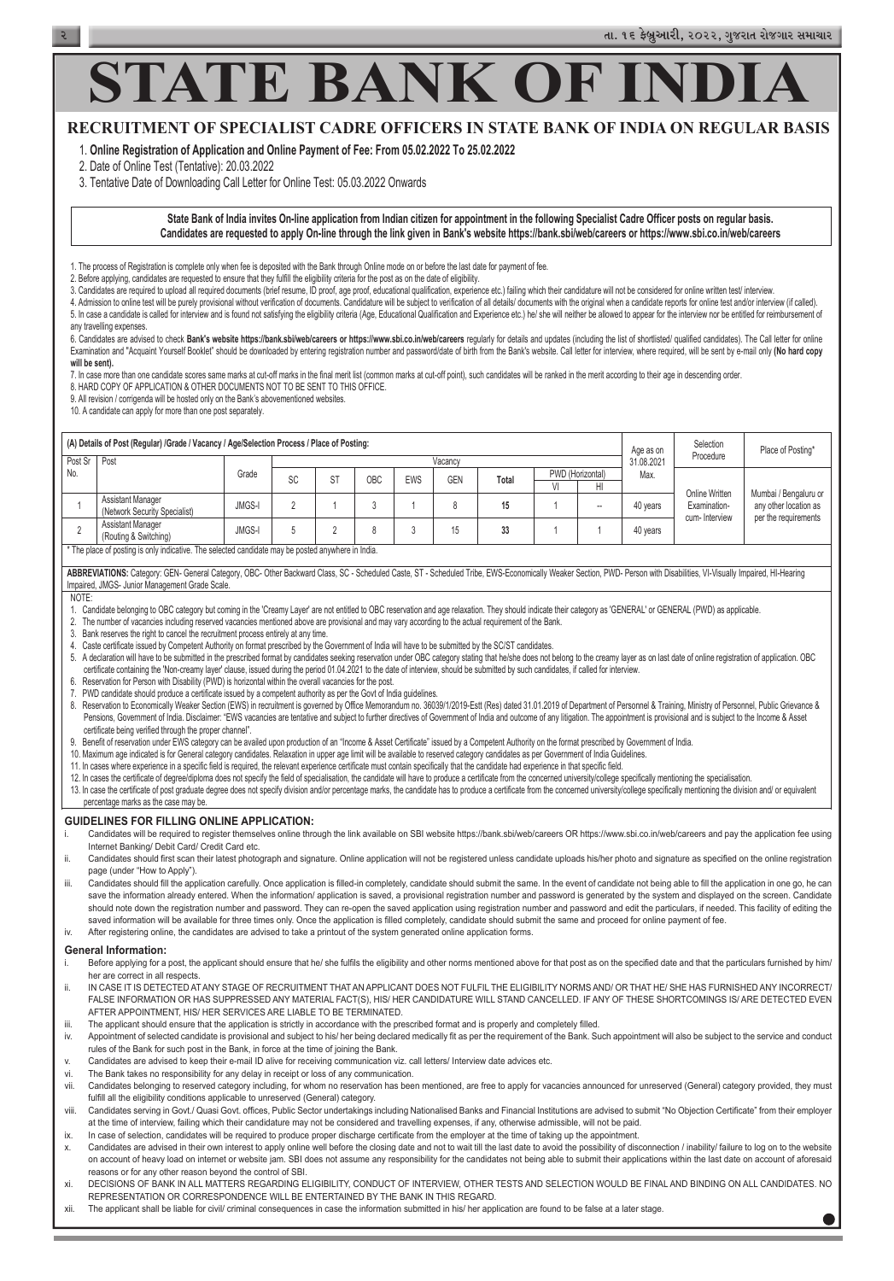

#### 1. **Online Registration of Application and Online Payment of Fee: From 05.02.2022 To 25.02.2022**

2. Date of Online Test (Tentative): 20.03.2022

3. Tentative Date of Downloading Call Letter for Online Test: 05.03.2022 Onwards

#### **State Bank of India invites On-line application from Indian citizen for appointment in the following Specialist Cadre Officer posts on regular basis. Candidates are requested to apply On-line through the link given in Bank's website https://bank.sbi/web/careers or https://www.sbi.co.in/web/careers**

1. The process of Registration is complete only when fee is deposited with the Bank through Online mode on or before the last date for payment of fee.

4. Admission to online test will be purely provisional without verification of documents. Candidature will be subject to verification of all details/ documents with the original when a candidate reports for online test and 5. In case a candidate is called for interview and is found not satisfying the eligibility criteria (Age, Educational Qualification and Experience etc.) he/ she will neither be allowed to appear for the interview nor be en any travelling expenses.

2. Before applying, candidates are requested to ensure that they fulfill the eligibility criteria for the post as on the date of eligibility.

3. Candidates are required to upload all required documents (brief resume, ID proof, age proof, educational qualification, experience etc.) failing which their candidature will not be considered for online written test/ in

6. Candidates are advised to check Bank's website https://bank.sbi/web/careers or https://www.sbi.co.in/web/careers regularly for details and updates (including the list of shortlisted/ qualified candidates). The Call lett Examination and "Acquaint Yourself Booklet" should be downloaded by entering registration number and password/date of birth from the Bank's website. Call letter for interview, where required, will be sent by e-mail only (N **will be sent).**

- 1. Candidate belonging to OBC category but coming in the 'Creamy Layer' are not entitled to OBC reservation and age relaxation. They should indicate their category as 'GENERAL' or GENERAL (PWD) as applicable.
- 2. The number of vacancies including reserved vacancies mentioned above are provisional and may vary according to the actual requirement of the Bank.
- 3. Bank reserves the right to cancel the recruitment process entirely at any time.
- 4. Caste certificate issued by Competent Authority on format prescribed by the Government of India will have to be submitted by the SC/ST candidates.
- 5. A declaration will have to be submitted in the prescribed format by candidates seeking reservation under OBC category stating that he/she does not belong to the creamy layer as on last date of online registration of app certificate containing the 'Non-creamy layer' clause, issued during the period 01.04.2021 to the date of interview, should be submitted by such candidates, if called for interview.
- 6. Reservation for Person with Disability (PWD) is horizontal within the overall vacancies for the post.
- 7. PWD candidate should produce a certificate issued by a competent authority as per the Govt of India guidelines.
- 8. Reservation to Economically Weaker Section (EWS) in recruitment is governed by Office Memorandum no. 36039/1/2019-Estt (Res) dated 31.01.2019 of Department of Personnel & Training, Ministry of Personnel, Public Grievanc Pensions, Government of India. Disclaimer: "EWS vacancies are tentative and subject to further directives of Government of India and outcome of any litigation. The appointment is provisional and is subject to the Income & certificate being verified through the proper channel".
- 9. Benefit of reservation under EWS category can be availed upon production of an "Income & Asset Certificate" issued by a Competent Authority on the format prescribed by Government of India.
- 10. Maximum age indicated is for General category candidates. Relaxation in upper age limit will be available to reserved category candidates as per Government of India Guidelines.
- 11. In cases where experience in a specific field is required, the relevant experience certificate must contain specifically that the candidate had experience in that specific field.
- 12. In cases the certificate of degree/diploma does not specify the field of specialisation, the candidate will have to produce a certificate from the concerned university/college specifically mentioning the specialisation

7. In case more than one candidate scores same marks at cut-off marks in the final merit list (common marks at cut-off point), such candidates will be ranked in the merit according to their age in descending order.

8. HARD COPY OF APPLICATION & OTHER DOCUMENTS NOT TO BE SENT TO THIS OFFICE.

9. All revision / corrigenda will be hosted only on the Bank's abovementioned websites.

10. A candidate can apply for more than one post separately.

|              | (A) Details of Post (Regular) /Grade / Vacancy / Age/Selection Process / Place of Posting:      |               |    |    |     |            |            |       |                  |       | Age as on | Selection                                       | Place of Posting*                                                      |
|--------------|-------------------------------------------------------------------------------------------------|---------------|----|----|-----|------------|------------|-------|------------------|-------|-----------|-------------------------------------------------|------------------------------------------------------------------------|
| Post Sr Post |                                                                                                 |               |    |    |     |            | Vacancy    |       |                  |       |           | Procedure                                       |                                                                        |
| No.          |                                                                                                 | Grade         | SC |    | OBC | <b>EWS</b> | <b>GEN</b> |       | PWD (Horizontal) |       | Max.      |                                                 |                                                                        |
|              |                                                                                                 |               |    | ST |     |            |            | Total |                  | HI    |           |                                                 |                                                                        |
|              | <b>Assistant Manager</b><br>(Network Security Specialist)                                       | <b>JMGS-I</b> |    |    |     |            |            |       |                  | $- -$ | 40 vears  | Online Written<br>Examination-<br>cum-Interview | Mumbai / Bengaluru or<br>any other location as<br>per the requirements |
|              | <b>Assistant Manager</b><br>(Routing & Switching)                                               | <b>JMGS-I</b> |    |    |     |            | 15         | 33    |                  |       | 40 years  |                                                 |                                                                        |
|              | The place of posting is only indicative. The selected candidate may be posted anywhere in India |               |    |    |     |            |            |       |                  |       |           |                                                 |                                                                        |

The place of posting is only indicative. The selected candidate may be posted anywhere in India.

13. In case the certificate of post graduate degree does not specify division and/or percentage marks, the candidate has to produce a certificate from the concerned university/college specifically mentioning the division a percentage marks as the case may be.

- **Post Sr Internet Banking/ Debit Card/ Credit Card etc.** i. Candidates will be required to register themselves online through the link available on SBI website https://bank.sbi/web/careers OR https://www.sbi.co.in/web/careers and pay the application fee using **Certification Work Experience as on 31.08.2021 & Specific Skills**
- **No. Candidates should first scan** ii. Candidates should first scan their latest photograph and signature. Online application will not be registered unless candidate uploads his/her photo and signature as specified on the online registration page (under "How to Apply").
- iii. Candidates should fill the application carefully. Once application is filled-in completely, candidate should submit the same. In the event of candidate not being able to fill the application in one go, he can save the information already entered. When the information/ application is saved, a provisional registration number and password is generated by the system and displayed on the screen. Candidate should note down the registration number and password. They can re-open the saved application using registration number and password and edit the particulars, if needed. This facility of editing the saved information will be available for three times only. Once the application is filled completely, candidate should submit the same and proceed for online payment of fee.
- iv. After registering online, the candidates are advised to take a printout of the system generated online application forms.

#### **General Information:**

- i. Before applying for a post, the applicant should ensure that he/ she fulfils the eligibility and other norms mentioned above for that post as on the specified date and that the particulars furnished by him/ her are correct in all respects. 7. Fortinet NSE1,
- ii. IN CASE IT IS DETECTED AT ANY STAGE OF RECRUITMENT THAT AN APPLICANT DOES NOT FULFIL THE ELIGIBILITY NORMS AND/ OR THAT HE/ SHE HAS FURNISHED ANY INCORRECT/ FALSE INFORMATION OR HAS SUPPRESSED ANY MATERIAL FACT(S), HIS/ HER CANDIDATURE WILL STAND CANCELLED. IF ANY OF THESE SHORTCOMINGS IS/ ARE DETECTED EVEN AFTER APPOINTMENT, HIS/ HER SERVICES ARE LIABLE TO BE TERMINATED.
- iii. The applicant should ensure that the application is strictly in accordance with the prescribed format and is properly and completely filled.
- iv. Appointment of selected candidate is provisional and subject to his/ her being declared medically fit as per the requirement of the Bank. Such appointment will also be subject to the service and conduct rules of the Bank for such post in the Bank, in force at the time of joining the Bank.
- v. Candidates are advised to keep their e-mail ID alive for receiving communication viz. call letters/ Interview date advices etc.

**ABBREVIATIONS:** Category: GEN- General Category, OBC- Other Backward Class, SC - Scheduled Caste, ST - Scheduled Tribe, EWS-Economically Weaker Section, PWD- Person with Disabilities, VI-Visually Impaired, HI-Hearing Impaired, JMGS- Junior Management Grade Scale.

NOTE:

 $\mathcal{O}(\mathcal{O}(\log n))$  and  $\mathcal{O}(\log n)$  and  $\mathcal{O}(\log n)$ **Preferred** : CISA, CISSP, CISM, CEH, CHFI, CSX

- vi. The Bank takes no responsibility for any delay in receipt or loss of any communication.
- (Routing Control Time) in any *induction* in any organisation in a control of the business of providing the understand (Concret) of providing the services of the services of the business of the services, and the services, structure subsiging to receive subgery instantigy, to minimum received.<br>fulfill all the eligibility conditions applicable to unreserved (General) category. vii. Candidates belonging to reserved category including, for whom no reservation has been mentioned, are free to apply for vacancies announced for unreserved (General) category provided, they must<br>fulfill all the eligibil
- viii. Candidates serving in Govt./ Quasi Govt. offices, Public Sector undertakings including Nationalised Banks and Financial Institutions are advised to submit "No Objection Certificate" from their employer at the time of interview, failing which their candidature may not be considered and travelling expenses, if any, otherwise admissible, will not be paid.
- ix. In case of selection, candidates will be required to produce proper discharge certificate from the employer at the time of taking up the appointment.
- x. Candidates are advised in their own interest to apply online well before the closing date and not to wait till the last date to avoid the possibility of disconnection / inability/ failure to log on to the website  $\frac{8.6}{100}$  $\frac{1}{2}$  First of website jam. Objects not as  $10.90$  Fig. Computed Technical Specialist – Big IP (301)  $1.5$  Figurity comparisons and interventional protocol and networking protocol and networking protocol and networking protocol and networking protocol and networking protocol and networking protocol and networking protocol on account of heavy load on internet or website jam. SBI does not assume any responsibility for the candidates not being able to submit their applications within the last date on account of aforesaid  $\overline{z}$  sound an external and the troubleshooting skills, skills, skills, skills, skills, skills, skills, skills, skills, skills, skills, skills, skills, skills, skills, skills, skills, skills, skills, skills, skills, sk reasons or for any other reason beyond the control of SBI.
- IAT TENO NEOANDING EEIGIDIEI 12. Radware RCAS-AL REPRESENTATION OR CORRESPONDENCE WILL BE ENTERTAINED BY THE BANK IN THIS REGARD. 3. Good team Management and co-ordination skills xi. DECISIONS OF BANK IN ALL MATTERS REGARDING ELIGIBILITY, CONDUCT OF INTERVIEW, OTHER TESTS AND SELECTION WOULD BE FINAL AND BINDING ON ALL CANDIDATES. NO 4. Fluent in at least Hindi and English languages
- The data consequences in case the implification sup xii. The applicant shall be liable for civil/ criminal consequences in case the information submitted in his/ her application are found to be false at a later stage.

#### **RECRUITMENT OF SPECIALIST CADRE OFFICERS IN STATE BANK OF INDIA ON REGULAR BASIS STATE BANK OF INDIA** CENTRAL RECRUITMENT & PROMOTION DEPARTMENT CORPORATE CENTRE, MUMBAI  $\blacksquare$  (Phone: 022-2282 042-2282 042-2282 042-2282 042-2282 042-2282 0411; E-mail: co.in) **STATE BANK OF INDIA**

# RECRUITMENT OF SPECIALIST CADRE OFFICERS IN STATE BANK OF INDIA ON REGULAR BASIS

#### **(B) Details of Educational Qualification/ Certification/Work Experience/ Specific Skills Required: GUIDELINES FOR FILLING ONLINE APPLICATION:**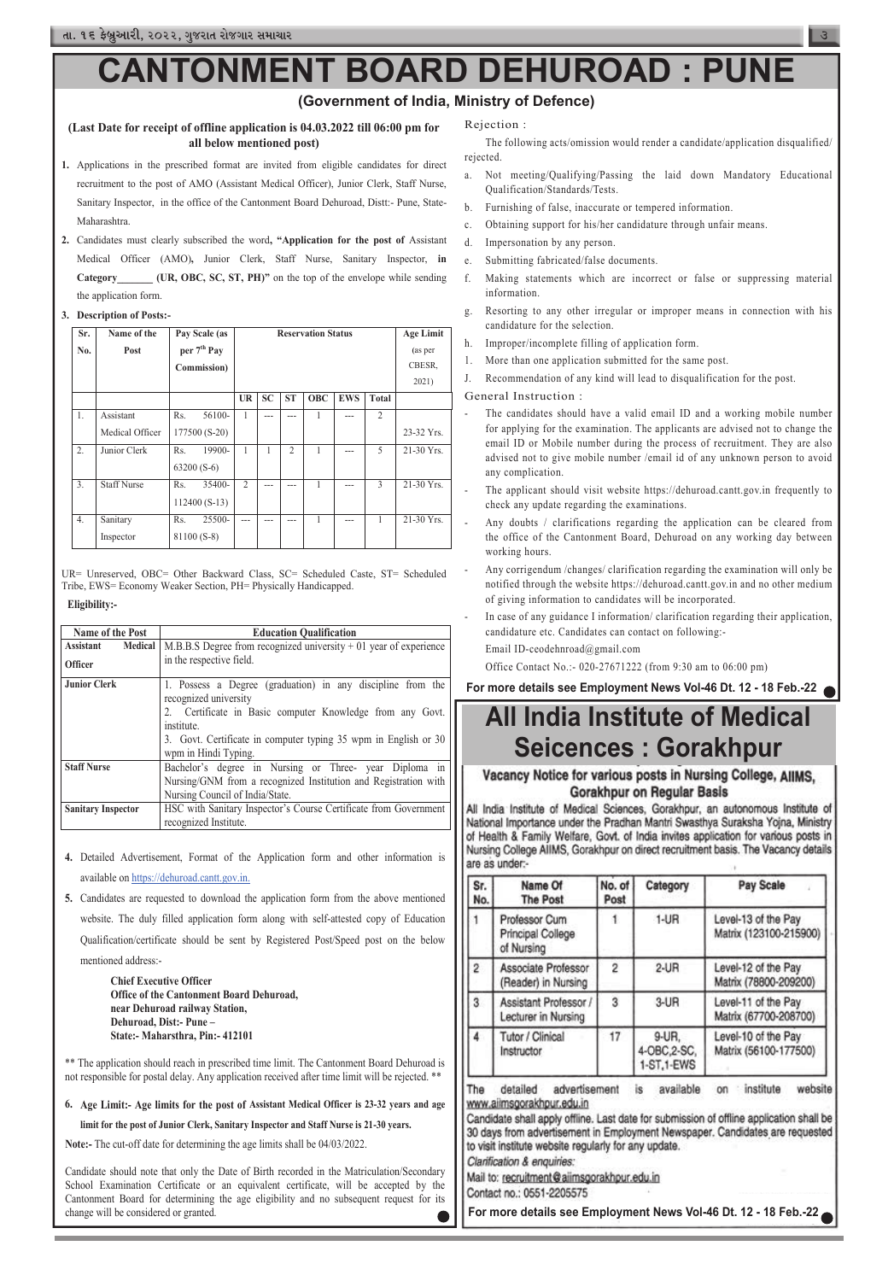# CANTONMENT BOARD DEHUROAD : PUNE

Rejection :

The following acts/omission would render a candidate/application disqualified/ rejected.

- a. Not meeting/Qualifying/Passing the laid down Mandatory Educational Qualification/Standards/Tests.
- b. Furnishing of false, inaccurate or tempered information.
- c. Obtaining support for his/her candidature through unfair means.
- d. Impersonation by any person.
- e. Submitting fabricated/false documents.
- f. Making statements which are incorrect or false or suppressing material information.
- g. Resorting to any other irregular or improper means in connection with his candidature for the selection.
- h. Improper/incomplete filling of application form.
- 1. More than one application submitted for the same post.
- J. Recommendation of any kind will lead to disqualification for the post.

General Instruction :

- The candidates should have a valid email ID and a working mobile number for applying for the examination. The applicants are advised not to change the email ID or Mobile number during the process of recruitment. They are also advised not to give mobile number /email id of any unknown person to avoid any complication.
- The applicant should visit website https://dehuroad.cantt.gov.in frequently to check any update regarding the examinations.
- Any doubts / clarifications regarding the application can be cleared from the office of the Cantonment Board, Dehuroad on any working day between working hours.
- Any corrigendum /changes/ clarification regarding the examination will only be notified through the website https://dehuroad.cantt.gov.in and no other medium of giving information to candidates will be incorporated.
- In case of any guidance I information/ clarification regarding their application, candidature etc. Candidates can contact on following:-

#### **(Government of India, Ministry of Defence) Employment Notice**

Email ID-ceodehnroad@gmail.com

Office Contact No.:- 020-27671222 (from 9:30 am to 06:00 pm)

**For more details see Employment News Vol-46 Dt. 12 - 18 Feb.-22**

# **All India Institute of Medical Seicences : Gorakhpur**

## Vacancy Notice for various posts in Nursing College, AllMS, Gorakhpur on Regular Basis

All India Institute of Medical Sciences, Gorakhpur, an autonomous Institute of National Importance under the Pradhan Mantri Swasthya Suraksha Yojna, Ministry of Health & Family Welfare, Govt. of India invites application for various posts in Nursing College AIIMS, Gorakhpur on direct recruitment basis. The Vacancy details are as under:-

| Sr.<br>No.     | Name Of<br><b>The Post</b>                                                                                     | No. of<br>Post | Category                            | Pay Scale                                                                                                                                                                                             |  |  |
|----------------|----------------------------------------------------------------------------------------------------------------|----------------|-------------------------------------|-------------------------------------------------------------------------------------------------------------------------------------------------------------------------------------------------------|--|--|
|                | Professor Cum<br>Principal College<br>of Nursing                                                               | 4              | $1-UR$                              | Level-13 of the Pay<br>Matrix (123100-215900)                                                                                                                                                         |  |  |
| $\overline{2}$ | Associate Professor<br>(Reader) in Nursing                                                                     | $\overline{2}$ | $2-UR$                              | Level-12 of the Pay.<br>Matrix (78800-209200)                                                                                                                                                         |  |  |
| 3              | Assistant Professor /<br>Lecturer in Nursing                                                                   | $\overline{3}$ | 3-UR                                | Level-11 of the Pay<br>Matrix (67700-208700)                                                                                                                                                          |  |  |
|                | Tutor / Clinical<br>Instructor                                                                                 | 17             | 9-UR,<br>4-OBC,2-SC,<br>1-ST, 1-EWS | Level-10 of the Pay<br>Matrix (56100-177500)                                                                                                                                                          |  |  |
| The            | advertisement<br>detailed<br>www.ailmsgorakhpur.edu.in<br>to visit institute website regularly for any update. |                | available<br>is                     | institute<br>website<br>on<br>Candidate shall apply offline. Last date for submission of offline application shall be<br>30 days from advertisement in Employment Newspaper. Candidates are requested |  |  |

#### **(Last Date for receipt of offline application is 04.03.2022 till 06:00 pm for all below mentioned post)**

- **1.** Applications in the prescribed format are invited from eligible candidates for direct recruitment to the post of AMO (Assistant Medical Officer), Junior Clerk, Staff Nurse, Sanitary Inspector, in the office of the Cantonment Board Dehuroad, Distt:- Pune, State-Maharashtra.
- **2.** Candidates must clearly subscribed the word**, "Application for the post of** Assistant Medical Officer (AMO)**,** Junior Clerk, Staff Nurse, Sanitary Inspector, **in Category\_\_\_\_\_\_\_ (UR, OBC, SC, ST, PH)"** on the top of the envelope while sending the application form.

Candidate should note that only the Date of Birth recorded in the Matriculation/Secondary School Examination Certificate or an equivalent certificate, will be accepted by the Cantonment Board for determining the age eligibility and no subsequent request for its change will be considered or granted.

#### **3. Description of Posts:-**

| Sr.              | Name of the        |     | Pay Scale (as       |                | <b>Reservation Status</b> |                |            |            |                | <b>Age Limit</b> |
|------------------|--------------------|-----|---------------------|----------------|---------------------------|----------------|------------|------------|----------------|------------------|
| No.              | Post               |     | per $7th$ Pay       |                |                           |                |            |            |                | (as per          |
|                  |                    |     | <b>Commission</b> ) |                |                           |                |            |            |                | CBESR.           |
|                  |                    |     |                     |                |                           |                |            |            |                | 2021)            |
|                  |                    |     |                     | UR             | <b>SC</b>                 | <b>ST</b>      | <b>OBC</b> | <b>EWS</b> | <b>Total</b>   |                  |
| $\mathbf{1}$ .   | Assistant          | Rs. | 56100-              | 1              | ---                       | ---            | 1          |            | $\mathfrak{D}$ |                  |
|                  | Medical Officer    |     | 177500 (S-20)       |                |                           |                |            |            |                | 23-32 Yrs.       |
| $\overline{2}$ . | Junior Clerk       | Rs. | 19900-              | 1              | 1                         | $\overline{2}$ |            |            | 5              | $21-30$ Yrs.     |
|                  |                    |     | 63200 (S-6)         |                |                           |                |            |            |                |                  |
| $\overline{3}$ . | <b>Staff Nurse</b> | Rs. | 35400-              | $\mathfrak{D}$ |                           |                |            |            | 3              | 21-30 Yrs.       |
|                  |                    |     | $112400(S-13)$      |                |                           |                |            |            |                |                  |
| 4.               | Sanitary           | Rs. | 25500-              |                |                           |                | 1          | ---        | 1              | 21-30 Yrs.       |
|                  | Inspector          |     | 81100 (S-8)         |                |                           |                |            |            |                |                  |

UR= Unreserved, OBC= Other Backward Class, SC= Scheduled Caste, ST= Scheduled Tribe, EWS= Economy Weaker Section, PH= Physically Handicapped.

#### **Eligibility:-**

| Name of the Post          |         | <b>Education Qualification</b>                                     |
|---------------------------|---------|--------------------------------------------------------------------|
| <b>Assistant</b>          | Medical | M.B.B.S Degree from recognized university $+01$ year of experience |
| <b>Officer</b>            |         | in the respective field.                                           |
| <b>Junior Clerk</b>       |         | 1. Possess a Degree (graduation) in any discipline from the        |
|                           |         | recognized university                                              |
|                           |         | 2. Certificate in Basic computer Knowledge from any Govt.          |
|                           |         | institute.                                                         |
|                           |         | 3. Govt. Certificate in computer typing 35 wpm in English or 30    |
|                           |         | wpm in Hindi Typing.                                               |
| <b>Staff Nurse</b>        |         | Bachelor's degree in Nursing or Three- year Diploma in             |
|                           |         | Nursing/GNM from a recognized Institution and Registration with    |
|                           |         | Nursing Council of India/State.                                    |
| <b>Sanitary Inspector</b> |         | HSC with Sanitary Inspector's Course Certificate from Government   |
|                           |         | recognized Institute.                                              |

- **4.** Detailed Advertisement, Format of the Application form and other information is available on https://dehuroad.cantt.gov.in.
- **5.** Candidates are requested to download the application form from the above mentioned website. The duly filled application form along with self-attested copy of Education Qualification/certificate should be sent by Registered Post/Speed post on the below

mentioned address:-

**Chief Executive Officer Office of the Cantonment Board Dehuroad, near Dehuroad railway Station, Dehuroad, Dist:- Pune – State:- Maharsthra, Pin:- 412101**

\*\* The application should reach in prescribed time limit. The Cantonment Board Dehuroad is not responsible for postal delay. Any application received after time limit will be rejected. \*\*

**6. Age Limit:- Age limits for the post of Assistant Medical Officer is 23-32 years and age limit for the post of Junior Clerk, Sanitary Inspector and Staff Nurse is 21-30 years. Note:-** The cut-off date for determining the age limits shall be 04/03/2022.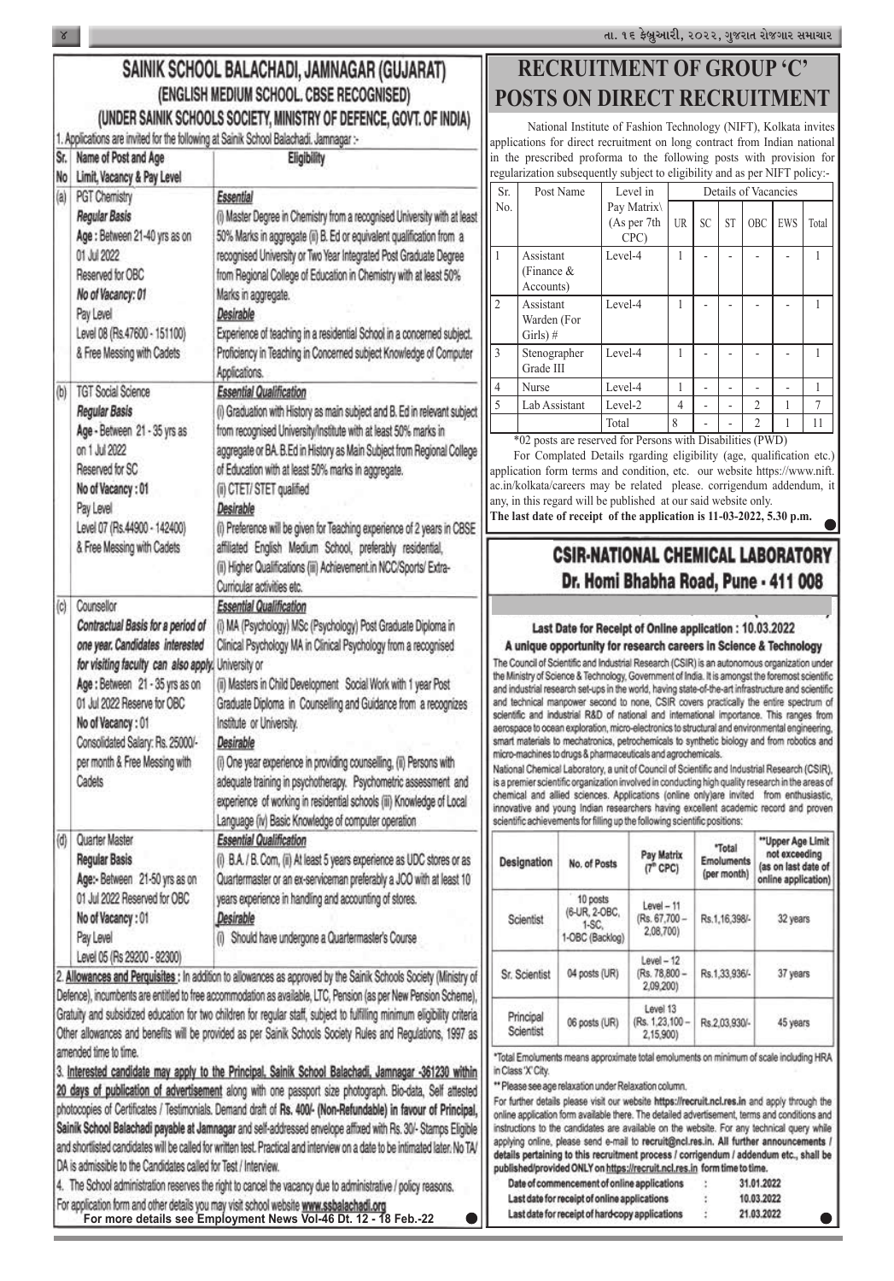#### SAINIK SCHOOL BALACHADI, JAMNAGAR (GUJARAT) (ENGLISH MEDIUM SCHOOL. CBSE RECOGNISED) (UNDER SAINIK SCHOOLS SOCIETY, MINISTRY OF DEFENCE, GOVT. OF INDIA) 1. Applications are invited for the following at Sainik School Balachadi. Jamnagar :-Sr. Name of Post and Age Eligibility No Limit, Vacancy & Pay Level Sr. (a) PGT Chemistry **Essential** No. **Regular Basis** (i) Master Degree in Chemistry from a recognised University with at least Age : Between 21-40 yrs as on 50% Marks in aggregate (ii) B. Ed or equivalent qualification from a 01 Jul 2022 recognised University or Two Year Integrated Post Graduate Degree Reserved for OBC from Regional College of Education in Chemistry with at least 50% No of Vacancy: 01 Marks in aggregate. Desirable Pay Level Level 08 (Rs.47600 - 151100) Experience of teaching in a residential School in a concerned subject. & Free Messing with Cadets Proficiency in Teaching in Concerned subject Knowledge of Computer Applications. **TGT Social Science Essential Qualification**  $(b)$ (i) Graduation with History as main subject and B. Ed in relevant subject **Regular Basis** Age - Between 21 - 35 yrs as from recognised University/Institute with at least 50% marks in aggregate or BA. B.Ed in History as Main Subject from Regional College on 1 Jul 2022 Reserved for SC of Education with at least 50% marks in aggregate. No of Vacancy: 01 (ii) CTET/ STET qualified Pay Level Desirable Level 07 (Rs.44900 - 142400) (i) Preference will be given for Teaching experience of 2 years in CBSE affiliated English Medium School, preferably residential, & Free Messing with Cadets (ii) Higher Qualifications (iii) Achievement.in NCC/Sports/ Extra-Curricular activities etc.  $(c)$ Counsellor **Essential Qualification** Contractual Basis for a period of (i) MA (Psychology) MSc (Psychology) Post Graduate Diploma in one year. Candidates interested Clinical Psychology MA in Clinical Psychology from a recognised for visiting faculty can also apply. University or Age: Between 21 - 35 yrs as on (ii) Masters in Child Development Social Work with 1 year Post 01 Jul 2022 Reserve for OBC Graduate Diploma in Counselling and Guidance from a recognizes No of Vacancy: 01 Institute or University. Consolidated Salary: Rs. 25000/-Desirable per month & Free Messing with (i) One year experience in providing counselling, (ii) Persons with Cadets adequate training in psychotherapy. Psychometric assessment and experience of working in residential schools (iii) Knowledge of Local Language (iv) Basic Knowledge of computer operation

# **RECRUITMENT OF GROUP 'C' POSTS ON DIRECT RECRUITMENT**

 National Institute of Fashion Technology (NIFT), Kolkata invites applications for direct recruitment on long contract from Indian national in the prescribed proforma to the following posts with provision for regularization subsequently subject to eligibility and as per NIFT policy:-

| Sr.            | Post Name                               | Level in                          |                | Details of Vacancies |           |                |            |       |
|----------------|-----------------------------------------|-----------------------------------|----------------|----------------------|-----------|----------------|------------|-------|
| No.            |                                         | Pay Matrix<br>(As per 7th<br>CPC) | <b>UR</b>      | SC                   | <b>ST</b> | <b>OBC</b>     | <b>EWS</b> | Total |
| 1              | Assistant<br>(Finance $\&$<br>Accounts) | Level-4                           | 1              |                      |           |                |            |       |
| $\overline{2}$ | Assistant<br>Warden (For<br>Girls) $#$  | Level-4                           |                |                      |           |                |            |       |
| 3              | Stenographer<br>Grade III               | Level-4                           | 1              |                      |           |                |            |       |
| 4              | <b>Nurse</b>                            | Level-4                           | 1              |                      |           |                |            |       |
| 5              | Lab Assistant                           | Level-2                           | $\overline{4}$ |                      |           | $\overline{2}$ |            | 7     |
|                |                                         | Total                             | 8              |                      |           | $\overline{2}$ |            | 11    |

For Complated Details rgarding eligibility (age, qualification etc.) application form terms and condition, etc. our website https://www.nift. ac.in/kolkata/careers may be related please. corrigendum addendum, it any, in this regard will be published at our said website only. **The last date of receipt of the application is 11-03-2022, 5.30 p.m.**

# **CSIR-NATIONAL CHEMICAL LABORATORY** Dr. Homi Bhabha Road, Pune - 411 008

# Last Date for Receipt of Online application: 10.03.2022 A unique opportunity for research careers in Science & Technology

The Council of Scientific and Industrial Research (CSIR) is an autonomous organization under the Ministry of Science & Technology, Government of India. It is amongst the foremost scientific and industrial research set-ups in the world, having state-of-the-art infrastructure and scientific and technical manpower second to none, CSIR covers practically the entire spectrum of scientific and industrial R&D of national and international importance. This ranges from aerospace to ocean exploration, micro-electronics to structural and environmental engineering, smart materials to mechatronics, petrochemicals to synthetic biology and from robotics and micro-machines to drugs & pharmaceuticals and agrochemicals.

National Chemical Laboratory, a unit of Council of Scientific and Industrial Research (CSIR), is a premier scientific organization involved in conducting high quality research in the areas of chemical and allied sciences. Applications (online only)are invited from enthusiastic, innovative and young Indian researchers having excellent academic record and proven scientific achievements for filling up the following scientific positions:

\*02 posts are reserved for Persons with Disabilities (PWD)

| Quarter Master<br><b>Essential Qualification</b><br>(d)<br><b>Regular Basis</b><br>Age:- Between 21-50 yrs as on                                                                                                                                                                                                                                                                                                                                                                                                                                                                                                                                                                                                                                                                                                                                                                                                                                              | (i) B.A. / B. Com, (ii) At least 5 years experience as UDC stores or as<br>Designation<br>Quartermaster or an ex-serviceman preferably a JCO with at least 10 | No. of Posts                                                                                                                                                                                                                                                                        | Pay Matrix<br>$(7n$ CPC)                    | *Total<br><b>Emoluments</b><br>(per month) | "Upper Age Limit<br>not exceeding<br>(as on last date of<br>online application)                                                                                                                                                                                                                                                                                                                                                                                                                                                                                                                                      |
|---------------------------------------------------------------------------------------------------------------------------------------------------------------------------------------------------------------------------------------------------------------------------------------------------------------------------------------------------------------------------------------------------------------------------------------------------------------------------------------------------------------------------------------------------------------------------------------------------------------------------------------------------------------------------------------------------------------------------------------------------------------------------------------------------------------------------------------------------------------------------------------------------------------------------------------------------------------|---------------------------------------------------------------------------------------------------------------------------------------------------------------|-------------------------------------------------------------------------------------------------------------------------------------------------------------------------------------------------------------------------------------------------------------------------------------|---------------------------------------------|--------------------------------------------|----------------------------------------------------------------------------------------------------------------------------------------------------------------------------------------------------------------------------------------------------------------------------------------------------------------------------------------------------------------------------------------------------------------------------------------------------------------------------------------------------------------------------------------------------------------------------------------------------------------------|
| 01 Jul 2022 Reserved for OBC<br>No of Vacancy: 01<br>Desirable<br>Pay Level                                                                                                                                                                                                                                                                                                                                                                                                                                                                                                                                                                                                                                                                                                                                                                                                                                                                                   | years experience in handling and accounting of stores.<br><b>Scientist</b><br>(i) Should have undergone a Quartermaster's Course                              | 10 posts<br>(6-UR, 2-OBC,<br>$1-SC$<br>1-OBC (Backlog)                                                                                                                                                                                                                              | $Level - 11$<br>(Rs. 67,700 -<br>2,08,700)  | Rs.1,16,398/-                              | 32 years                                                                                                                                                                                                                                                                                                                                                                                                                                                                                                                                                                                                             |
| Level 05 (Rs 29200 - 92300)<br>2. Allowances and Perquisites : In addition to allowances as approved by the Sainik Schools Society (Ministry of<br>Defence), incumbents are entitled to free accommodation as available, LTC, Pension (as per New Pension Scheme),                                                                                                                                                                                                                                                                                                                                                                                                                                                                                                                                                                                                                                                                                            | Sr. Scientist                                                                                                                                                 | 04 posts (UR)                                                                                                                                                                                                                                                                       | $Level-12$<br>(Rs. 78,800 -<br>2,09,200)    | Rs.1,33,936/-                              | 37 years                                                                                                                                                                                                                                                                                                                                                                                                                                                                                                                                                                                                             |
| Gratuity and subsidized education for two children for regular staff, subject to fulfilling minimum eligibility criteria<br>Other allowances and benefits will be provided as per Sainik Schools Society Rules and Regulations, 1997 as                                                                                                                                                                                                                                                                                                                                                                                                                                                                                                                                                                                                                                                                                                                       | Principal<br>Scientist                                                                                                                                        | 06 posts (UR)                                                                                                                                                                                                                                                                       | Level 13<br>$(Rs. 1.23, 100 -$<br>2.15.900) | Rs.2,03,930/-                              | 45 years                                                                                                                                                                                                                                                                                                                                                                                                                                                                                                                                                                                                             |
| amended time to time.<br>3. Interested candidate may apply to the Principal, Sainik School Balachadi, Jamnagar -361230 within<br>20 days of publication of advertisement along with one passport size photograph. Bio-data, Self attested<br>photocopies of Certificates / Testimonials. Demand draft of Rs. 400/- (Non-Refundable) in favour of Principal,<br>Sainik School Balachadi payable at Jamnagar and self-addressed envelope affixed with Rs. 30/- Stamps Eligible<br>and shortlisted candidates will be called for written test. Practical and interview on a date to be intimated later. No TA/<br>DA is admissible to the Candidates called for Test / Interview.<br>4. The School administration reserves the right to cancel the vacancy due to administrative / policy reasons.<br>For application form and other details you may visit school website www.ssbalachadi.org<br>For more details see Employment News Vol-46 Dt. 12 - 18 Feb.-22 | in Class 'X' City.                                                                                                                                            | ** Please see age relaxation under Relaxation column.<br>published/provided ONLY on https://recruit.ncl.res.in form time to time.<br>Date of commencement of online applications<br>Last date for receipt of online applications<br>Last date for receipt of hard-copy applications |                                             |                                            | *Total Emoluments means approximate total emoluments on minimum of scale including HRA<br>For further details please visit our website https://recruit.ncl.res.in and apply through the<br>online application form available there. The detailed advertisement, terms and conditions and<br>instructions to the candidates are available on the website. For any technical query while<br>applying online, please send e-mail to recruit@ncl.res.in. All further announcements /<br>details pertaining to this recruitment process / corrigendum / addendum etc., shall be<br>31.01.2022<br>10.03.2022<br>21.03.2022 |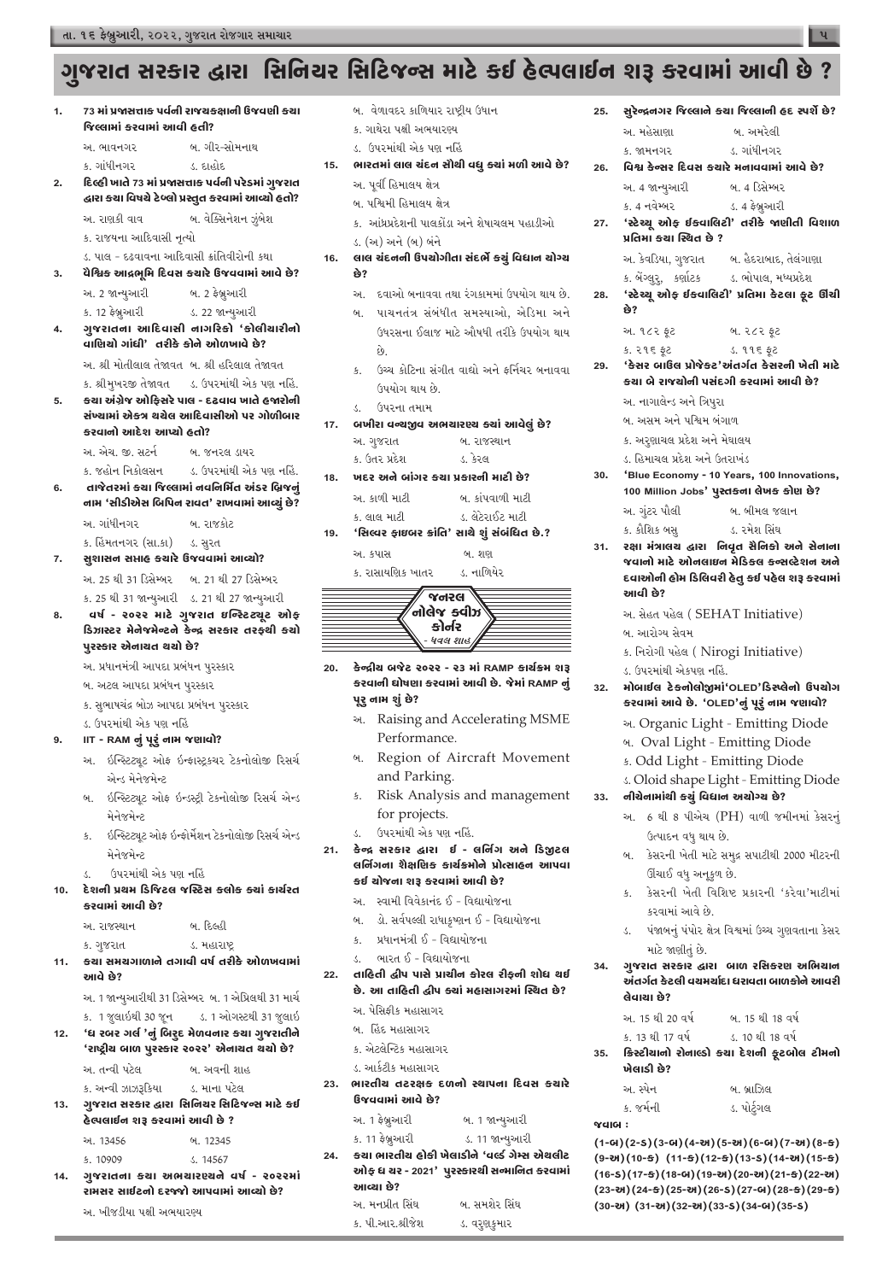- 11. કયા સમયગાળાને તગાવી વર્ષ તરી<del>કે</del> ઓળખવામાં **આવે છે?** 
	- અ. 1 �ન્યુઆરીથી 31 �ડસેમ્બર બ. 1 એિપ્રલથી 31 માચર્ ક. 1 જુલાઇથી 30 જૂન ડ. 1 ઓગસ્ટથી 31 જુલાઇ
- 12. **'ધ રબર ગર્લ 'નું બિર્**ુદ મેળવનાર કચા ગુજરાતીને **'રા�રીય બાળ પુરસ્કાર ૨૦૨૨' એનાયત થયો છે?**

અ. તન્વી પટેલ બ. અવની શાહ

ક. અન્વી ઝાઝરૂકિયા ડ. માના પટેલ

**કરવામાં આવરી છે?** 

અ. રાજસ્થાન બ. �દલ્હી

| 1.           | જિલ્લામાં કરવામાં આવી હતી?                   | 73 માં પ્રજાસત્તાક પર્વની રાજચકક્ષાની ઉજવણી કચા      |     | બ. વેળાવદર કાળિયાર રાષ્ટ્રીય ઉધાન<br>ક. ગાથેરા પક્ષી અભયારણ્ય         |
|--------------|----------------------------------------------|------------------------------------------------------|-----|-----------------------------------------------------------------------|
|              | અ. ભાવનગર બ. ગીર-સોમનાથ                      |                                                      |     | ડ. ઉપરમાંથી એક પણ નહિં                                                |
|              | ક. ગાંધીનગર                                  | ડ. દાહોદ                                             | 15. | ભારતમાં લાલ ચંદન સૌથી વધુ ક્ચાં મળી આવે છે?                           |
| 2.           |                                              | દિલ્હી ખાતે 73 માં પ્રજાસત્તાક પર્વની પરેડમાં ગુજરાત |     | અ. પૂર્વી હિમાલય ક્ષેત્ર                                              |
|              |                                              | દ્વારા કચા વિષયે ટેબ્લો પ્રસ્તુત કરવામાં આવ્યો હતો?  |     | બ. પશ્વિમી હિમાલય ક્ષેત્ર                                             |
|              | અ. રાણકી વાવ બ. વેક્સિનેશન ઝુંબેશ            |                                                      |     | ક. આંધ્રપ્રદેશની પાલકોંડા અને શેષાચલમ પહાડીઓ                          |
|              | ક. રાજયના આદિવાસી નૃત્યો                     |                                                      |     |                                                                       |
|              | ડ. પાલ - દઢવાવના આદિવાસી ક્રાંતિવીરોની કથા   |                                                      | 16. | ડ. (અ) અને (બ) બંને<br>લાલ ચંદનની ઉપચોગીતા સંદર્ભે કચું વિદ્યાન ચોગ્ચ |
| 3.           |                                              | યેશ્વિક આદ્રભૂમિ દિવસ કચારે ઉજવવામાં આવે છે?         |     | છે?                                                                   |
|              | અ. 2 જાન્યુઆરી             બ. 2 ફેબ્રુઆરી    |                                                      |     | અ.   દવાઓ બનાવવા તથા રંગકામમાં ઉપયોગ થાય છે.                          |
|              | ક. 12 ફેબ્રુઆરી હિ. 22 જાન્યુઆરી             |                                                      |     | પાચનતંત્ર સંબંધીત સમસ્યાઓ, એડિમા અને<br>બ.                            |
| $\mathbf{4}$ |                                              | ગુજરાતના આદિવાસી નાગરિકો 'કોલીચારીનો                 |     | ઉધરસના ઈલાજ માટે ઔષધી તરીકે ઉપયોગ થાય                                 |
|              | વાણિયો ગાંધી' તરીકે કોને ઓળખાવે છે?          |                                                      |     |                                                                       |
|              | અ. શ્રી મોતીલાલ તેજાવત બ. શ્રી હરિલાલ તેજાવત |                                                      |     | છે.                                                                   |
|              |                                              | ક. શ્રીમુખરજી તેજાવત ડ. ઉપરમાંથી એક પણ નહિં.         |     | ઉચ્ચ કોટિના સંગીત વાદ્યો અને ફર્નિચર બનાવવા<br>$\mathcal{L}$          |
| 5.           |                                              | કચા અંગ્રેજ ઓફિસરે પાલ - દઢવાવ ખાતે હજારોની          |     | ઉપયોગ થાય છે.                                                         |
|              |                                              | સંખ્યામાં એક્ત્ર થયેલ આદિવાસીઓ પર ગોળીબાર            |     | ઉપરના તમામ<br>$\mathcal{L}$                                           |
|              | કરવાનો આદેશ આપ્યો હતો?                       |                                                      | 17. | બખીરા વન્ચજીવ અભચારણ્ય ક્યાં આવેલું છે?                               |
|              | અ. એચ. જી. સટર્ન બ. જનરલ ડાયર                |                                                      |     | અ. ગુજરાત<br>બ. રાજસ્થાન                                              |
|              |                                              | ક. જહોન નિકોલસન       ડ. ઉપરમાંથી એક પણ નહિં.        |     | ક. ઉતર પ્રદેશ હિંસ કરલ<br>ખદર અને બાંગર કચા પ્રકારની માટી છે?         |
| 6.           |                                              | તાજેતરમાં કચા જિલ્લામાં નવનિર્મિત અંડર બ્રિજનું      | 18. |                                                                       |
|              |                                              | નામ 'સીડીએસ બિપિન રાવત' રાખવામાં આવ્યું છે?          |     | અ. કાળી માટી<br>બ. કાંપવાળી માટી                                      |
|              | અ. ગાંધીનગર બ. રાજકોટ                        |                                                      |     | ક. લાલ માટી હિંસ કરે રાઈટ માટી                                        |
|              | ક. હિંમતનગર (સા.કા) ક. સુરત                  |                                                      |     | 19. 'સિલ્વર ફાઇબર ક્રાંતિ' સાથે શું સંબંધિત છે.?                      |
| 7.           | સુશાસન સપ્તાહ કચારે ઉજવવામાં આવ્યો?          |                                                      |     | બ. શણ<br>અ. કપાસ                                                      |
|              | અ. 25 થી 31 ડિસેમ્બર બ. 21 થી 27 ડિસેમ્બર    |                                                      |     | ક. રાસાયણિક ખાતર<br>ડ. નાળિયેર                                        |
|              | ક. 25 થી 31 જાન્યુઆરી ડ. 21 થી 27 જાન્યુઆરી  |                                                      |     | <b>V</b> al5G                                                         |
| 8.           |                                              | વર્ષ - ૨૦૨૨ માટે ગુજરાત ઇન્સ્ટિટ્યૂટ ઓફ              |     | <sub>o</sub> નોલેજ ક્વીઝં                                             |
|              |                                              | ડિઝાસ્ટર મેનેજમેન્ટને કેન્દ્ર સરકાર તરફથી કર્યો      |     | કોર્નર                                                                |
|              | પુરસ્કાર એનાચત થયો છે?                       |                                                      |     | ધવલ શાહ                                                               |
|              | અ. પ્રધાનમંત્રી આપદા પ્રબંધન પુરસ્કાર        |                                                      | 20. | કેન્દ્રીચ બજેટ ૨૦૨૨ - ૨૩ માં RAMP કાર્ચક્રમ શરૂ                       |
|              | બ. અટલ આપદા પ્રબંધન પુરસ્કાર                 |                                                      |     | કરવાની ઘોષણા કરવામાં આવી છે. જેમાં RAMP નું                           |
|              | ક. સુભાષચંદ્ર બોઝ આપદા પ્રબંધન પુરસ્કાર      |                                                      |     | પૂરુ નામ શું છે?                                                      |
|              | ડ. ઉપરમાંથી એક પણ નહિં                       |                                                      |     | Raising and Accelerating MSME<br>અ.                                   |
| 9.           | IIT - RAM નું પૂરું નામ જણાવો?               |                                                      |     | Performance.                                                          |
|              |                                              | અ.  ઇન્સ્ટિટ્યૂટ ઓફ ઇન્ફાસ્ટ્રકચર ટેકનોલોજી રિસર્ચ   |     | Region of Aircraft Movement<br>બ.                                     |
|              | એન્ડ મેનેજમેન્ટ                              |                                                      |     | and Parking.                                                          |
|              | બ.                                           | ઇન્સ્ટિટ્યૂટ ઓફ ઇન્ડસ્ટ્રી ટેકનોલોજી રિસર્ચ એન્ડ     |     | Risk Analysis and management<br>ક.                                    |
|              | મેનેજમેન્ટ                                   |                                                      |     | for projects.                                                         |
|              | s.                                           | ઇન્સ્ટિટ્યૂટ ઓફ ઇન્ફોર્મેશન ટેકનોલોજી રિસર્ચ એન્ડ    |     | ઉપરમાંથી એક પણ નહિં.<br>s.                                            |
|              | મેનેજમેન્ટ                                   |                                                      | 21. | કેન્દ્ર સરકાર દ્વારા ઈ - લર્નિગ અને ડિજીટલ                            |
|              | ઉપરમાંથી એક પણ નહિં<br>s.                    |                                                      |     | લર્નિગના શૈક્ષણિક કાર્યક્રમોને પ્રોત્સાહન આપવા                        |
| 10.          |                                              | દેશની પ્રથમ ડિજિટલ જસ્ટિસ ક્લોક ક્ચાં કાર્યરત        |     | કઈ ચોજના શરૂ કરવામાં આવી છે?                                          |
|              | કરવામાં આતી છે?                              |                                                      |     | અ. સ્વામી વિવેકાનંદ ઈ - વિદ્યાયોજના                                   |

- અ. પેસિફીક મહાસાગર
- બ. હિંદ મહાસાગર
- ક. એટલે�ન્ટક મહાસાગર
- ડ. આક�ટીક મહાસાગર
- **23. ભારતરીય તટરક્ષક દળનો સ્થાપના �દવસ કયારે ઉજવવામાં આવે છે?**

**13. ગુજરાત સરકાર દ્વારા િસિનયર િસ�ટજન્સ માટે કઈ હેલ્પલાઈન શ� કરવામાં આવરી છે ?**

> અ. 13456 બ. 12345 ક. 10909 ડ. 14567

**14. ગુજરાતના કયા અભયારણ્યને વષર્ – ૨૦૨૨માં રામસર સાઈટનો દરજ્જો આપવામાં આવ્યો છે?** 

અ. ખીજડીયા પક્ષી અભયારણ્ય

|     |                                                   | 25.     સુરેન્દ્રનગર જિલ્લાને કચા જિલ્લાની હદ સ્પર્શે છે?                                         |
|-----|---------------------------------------------------|---------------------------------------------------------------------------------------------------|
|     | અ. મહેસાણા                                        | બ. અમરેલી                                                                                         |
|     | ક. જામનગર                                         | ડ. ગાંધીનગર                                                                                       |
|     | 26.     વિશ્વ કેન્સર દિવસ કચારે મનાવવામાં આવે છે? |                                                                                                   |
|     | અ. 4 જાન્યુઆરી                                    | બ. 4 ડિસેમ્બર                                                                                     |
|     | ક. 4 નવેમ્બર                                      | ડ. 4 ફેબ્રુઆરી                                                                                    |
|     |                                                   | 27.   'સ્ટેચ્ચૂ ઓફ ઈકવાલિટી' તરીકે જાણીતી વિશાળ                                                   |
|     | પ્રતિમા કચા સ્થિત છે ?                            |                                                                                                   |
|     |                                                   | અ. કેવડિયા, ગુજરાત        બ. હૈદરાબાદ, તેલંગાણા                                                   |
|     | ક. બેંગ્લુર્, કર્ણાટક ડ. ભોપાલ, મધ્યપ્રદેશ        |                                                                                                   |
| 28. | છે?                                               | 'સ્ટેચ્ચૂ ઓફ ઈક્વાલિટી' પ્રતિમા કેટલા ફૂટ ઊંચી                                                    |
|     | અ. ૧૮૨ ફૂટ                                        | બ. ૨૮૨ ફૂટ                                                                                        |
|     | <b>s. २१६ ईट</b>                                  | ડ. ૧૧૬ ફૂટ                                                                                        |
|     |                                                   | 29.    'કેસર બાઉલ પ્રોજેકટ'અંતર્ગત કેસરની ખેતી માટે                                               |
|     | કચા બે રાજચોની પસંદગી કરવામાં આવી છે?             |                                                                                                   |
|     | અ. નાગાલેન્ડ અને ત્રિપુરા                         |                                                                                                   |
|     | બ. અસમ અને પશ્વિમ બંગાળ                           |                                                                                                   |
|     | ક. અરુ્ણાચલ પ્રદેશ અને મેઘાલય                     |                                                                                                   |
|     | ડ. હિમાચલ પ્રદેશ અને ઉતરાખંડ                      |                                                                                                   |
| 30. |                                                   | 'Blue Economy - 10 Years, 100 Innovations,                                                        |
|     | 100 Million Jobs' પુસ્તકના લેખક કોણ છે?           |                                                                                                   |
|     | અ. ગુંટર પૌલી                                     | બ. બીમલ જલાન                                                                                      |
|     | ક. કૌશિક બસુ                                      | ડ. ૨મેશ સિંઘ                                                                                      |
|     |                                                   | 31.   રક્ષા મંત્રાલચ દ્વારા   નિવૃત સૈનિકો અને સેનાના<br>જવાનો માટે ઓનલાઇન મેડિક્લ કન્સલ્ટેશન અને |
|     |                                                   | દવાઓની હોમ ડિલિવરી હેતુ કઈ પહેલ શરૂ કરવામાં                                                       |
|     | આવી છે?                                           |                                                                                                   |
|     | અ. સેહત પહેલ (SEHAT Initiative)                   |                                                                                                   |
|     | બ. આરોગ્ય સેવમ                                    |                                                                                                   |
|     | ક. નિરોગી પહેલ (Nirogi Initiative)                |                                                                                                   |
|     | ડ. ઉપરમાંથી એકપણ નહિં.                            |                                                                                                   |
| 32. |                                                   | મોબાઈલ ટેક્નોલોજીમાં'OLED'ડિસ્પ્લેનો ઉપચોગ                                                        |
|     |                                                   | કરવામાં આવે છે. 'OLED'નું પૂરું નામ જણાવો?                                                        |
|     |                                                   | અ. Organic Light - Emitting Diode                                                                 |
|     | બ. Oval Light - Emitting Diode                    |                                                                                                   |
|     | s. Odd Light - Emitting Diode                     |                                                                                                   |
|     |                                                   | s. Oloid shape Light - Emitting Diode                                                             |
| 33. | નીચેનામાંથી કચું વિદ્યાન અચોગ્ચ છે?               |                                                                                                   |
|     | અ.                                                | 6 થી 8 પીએચ (PH) વાળી જમીનમાં કેસરનું                                                             |
|     | ઉત્પાદન વધુ થાય છે.                               |                                                                                                   |
|     |                                                   | બ. કેસરની ખેતી માટે સમુદ્ર સપાટીથી 2000 મીટરની                                                    |

- ઊંચાઈ વધુ અનૂકુળ છે. ક. ક�સરની ખેતી િવિશષ્ટ પ્રકારની 'કર�વા'માટીમાં
- કરવામાં આવે છે.
- ડ. પં�બનું પંપોર ક્ષેત્ર િવશ્વમાં ઉચ્ચ ગુણવતાના ક�સર

ક. ગુજરાત ડ. મહારાષ્ટ્ર

- ક. 13 થી 17 વર્ષ ડ. 10 થી 18 વર્ષ
- 35. કિસ્ટીચાનો રોનાલ્ડો કચા દેશની ફૂટબોલ ટીમનો **ખેલાડરી છે?**

બ. ડો. સવર્પલ્લી રાધાક�ષ્ણન ઈ - િવદ્યાયોજના

ક. પ્રધાનમંત્રી ઈ – િવદ્યાયોજના

ડ. ભારત ઈ - િવદ્યાયોજના

**22. તાિહતરી દ્વરીપ પાસે પ્રાચરીન કોરલ રરીફનરી શોધ થઈ છે. આ તાિહતરી દ્વરીપ ક્યાં મહાસાગરમાં �સ્થત છે?** 

 અ. 1 ફ�બ્રુઆરી બ. 1 �ન્યુઆરી ક. 11 ફેબ્રુઆરી હિં. 11 જાન્યુઆરી **24. કયા ભારતરીય હોક� ખેલાડરીને 'વલ્ડર્ ગેમ્સ એથલરીટ ઓફ ધ યર – 2021' પુરસ્કારથરી સન્માિનત કરવામાં આવ્યા છે?**  અ. મનપ્રીત િસંઘ બ. સમશેર િસંઘ

ક. પી.આર.શ્રીજેશ ડ. વરુ્ણકુમાર

માટે જાણીતું છે.

**34. ગુજરાત સરકાર દ્વારા બાળ રિસકરણ અિભયાન અંતગર્ત ક�ટલરી વયમયાર્દા ધરાવતા બાળકોને આવરરી લેવાયા છે?** 

અ. 15 થી 20 વર્ષ બ. 15 થી 18 વર્ષ

| અ. સ્પેન  | બ. બ્રાઝિલ  |
|-----------|-------------|
| ક. જર્મની | ડ. પોર્ટુગલ |

#### **જવાબ :**

**(1-બ)(2-ડ)(3-બ)(4-અ)(5-અ)(6-બ)(7-અ)(8-ક) (9-અ)(10-ક) (11-ક)(12-ક)(13-ડ)(14-અ)(15-ક) (16-ડ)(17-ક)(18-બ)(19-અ)(20-અ)(21-ક)(22-અ) (23-અ)(24-ક)(25-અ)(26-ડ)(27-બ)(28-ક)(29-ક) (30-અ) (31-અ)(32-અ)(33-ડ)(34-બ)(35-ડ)**

# **ગુજરાત સરકાર દ્વારા િસિનયર િસ�ટજન્સ માટે કઈ હેલ્પલાઈન શ� કરવામાં આવરી છે ?**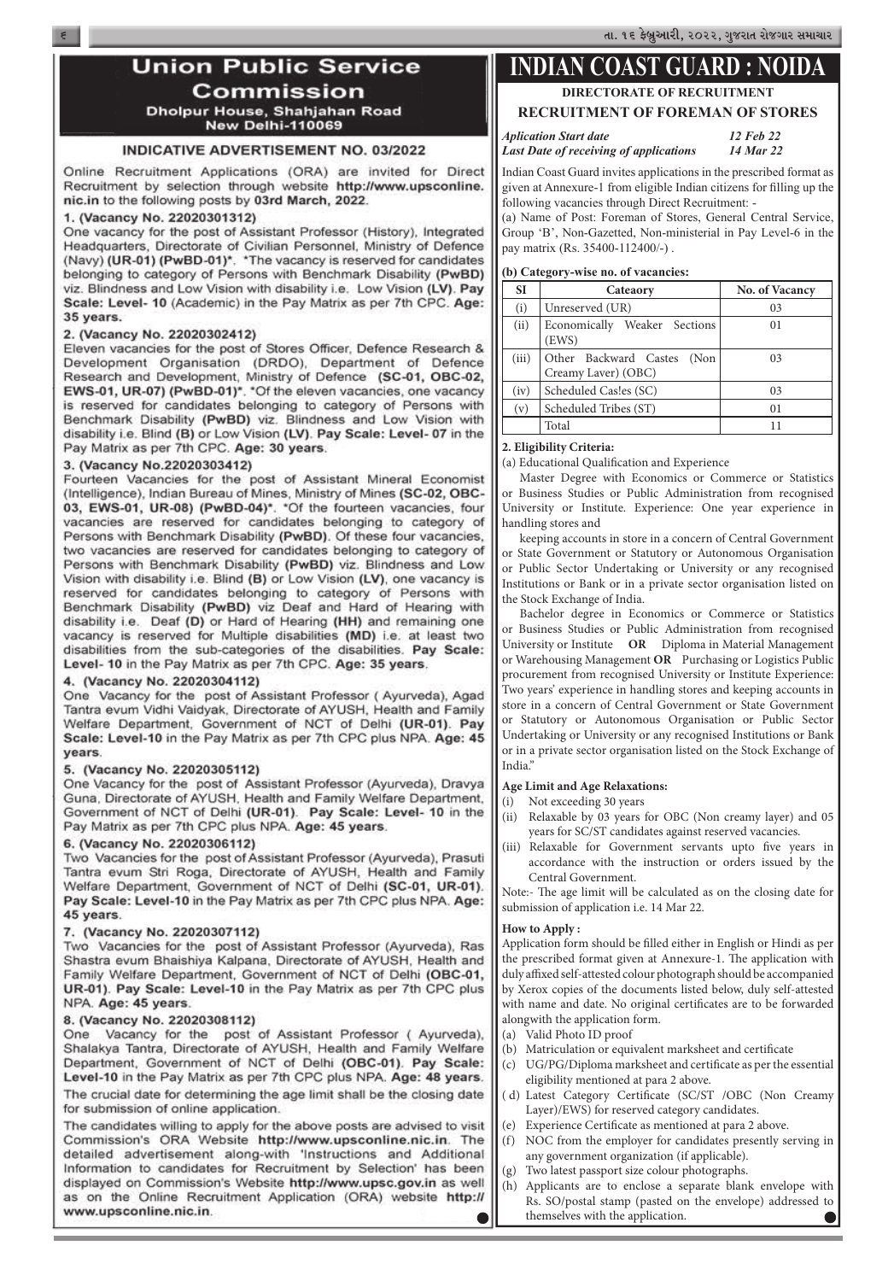# **Union Public Service Commission** Dholpur House, Shahjahan Road **New Delhi-110069**

#### INDICATIVE ADVERTISEMENT NO. 03/2022

Online Recruitment Applications (ORA) are invited for Direct Recruitment by selection through website http://www.upsconline. nic.in to the following posts by 03rd March, 2022.

#### 1. (Vacancy No. 22020301312)

One vacancy for the post of Assistant Professor (History), Integrated Headquarters, Directorate of Civilian Personnel, Ministry of Defence (Navy) (UR-01) (PwBD-01)\*. \*The vacancy is reserved for candidates belonging to category of Persons with Benchmark Disability (PwBD) viz. Blindness and Low Vision with disability i.e. Low Vision (LV). Pay Scale: Level- 10 (Academic) in the Pay Matrix as per 7th CPC. Age: 35 years.

#### 2. (Vacancy No. 22020302412)

Eleven vacancies for the post of Stores Officer, Defence Research & Development Organisation (DRDO), Department of Defence Research and Development, Ministry of Defence (SC-01, OBC-02, EWS-01, UR-07) (PwBD-01)\*. \*Of the eleven vacancies, one vacancy is reserved for candidates belonging to category of Persons with Benchmark Disability (PwBD) viz. Blindness and Low Vision with disability i.e. Blind (B) or Low Vision (LV). Pay Scale: Level- 07 in the Pay Matrix as per 7th CPC. Age: 30 years.

#### 3. (Vacancy No.22020303412)

Fourteen Vacancies for the post of Assistant Mineral Economist (Intelligence), Indian Bureau of Mines, Ministry of Mines (SC-02, OBC-03, EWS-01, UR-08) (PwBD-04)\*. \*Of the fourteen vacancies, four vacancies are reserved for candidates belonging to category of Persons with Benchmark Disability (PwBD). Of these four vacancies, two vacancies are reserved for candidates belonging to category of Persons with Benchmark Disability (PwBD) viz. Blindness and Low Vision with disability i.e. Blind (B) or Low Vision (LV), one vacancy is reserved for candidates belonging to category of Persons with Benchmark Disability (PwBD) viz Deaf and Hard of Hearing with disability i.e. Deaf (D) or Hard of Hearing (HH) and remaining one vacancy is reserved for Multiple disabilities (MD) i.e. at least two disabilities from the sub-categories of the disabilities. Pay Scale: Level- 10 in the Pay Matrix as per 7th CPC. Age: 35 years.

#### 4. (Vacancy No. 22020304112)

One Vacancy for the post of Assistant Professor (Ayurveda), Agad Tantra evum Vidhi Vaidyak, Directorate of AYUSH, Health and Family Welfare Department, Government of NCT of Delhi (UR-01). Pay Scale: Level-10 in the Pay Matrix as per 7th CPC plus NPA. Age: 45 years.

#### 5. (Vacancy No. 22020305112)

One Vacancy for the post of Assistant Professor (Ayurveda), Dravya Guna, Directorate of AYUSH, Health and Family Welfare Department, Government of NCT of Delhi (UR-01). Pay Scale: Level- 10 in the Pay Matrix as per 7th CPC plus NPA. Age: 45 years.

#### 6. (Vacancy No. 22020306112)

Two Vacancies for the post of Assistant Professor (Ayurveda), Prasuti Tantra evum Stri Roga, Directorate of AYUSH, Health and Family Welfare Department, Government of NCT of Delhi (SC-01, UR-01). Pay Scale: Level-10 in the Pay Matrix as per 7th CPC plus NPA. Age: 45 years.

#### 7. (Vacancy No. 22020307112)

Two Vacancies for the post of Assistant Professor (Ayurveda), Ras Shastra evum Bhaishiya Kalpana, Directorate of AYUSH, Health and Family Welfare Department, Government of NCT of Delhi (OBC-01, UR-01). Pay Scale: Level-10 in the Pay Matrix as per 7th CPC plus NPA. Age: 45 years.

# **INDIAN COAST GUARD : NOIDA**

**DIRECTORATE OF RECRUITMENT RECRUITMENT OF FOREMAN OF STORES**

*Aplication Start date 12 Feb 22 Last Date of receiving of applications 14 Mar 22*

Indian Coast Guard invites applications in the prescribed format as given at Annexure-1 from eligible Indian citizens for filling up the following vacancies through Direct Recruitment: -

(a) Name of Post: Foreman of Stores, General Central Service, Group 'B', Non-Gazetted, Non-ministerial in Pay Level-6 in the pay matrix (Rs. 35400-112400/-) .

#### **(b) Category-wise no. of vacancies:**

| <b>SI</b> | Cateaory                                          | No. of Vacancy |
|-----------|---------------------------------------------------|----------------|
| (i)       | Unreserved (UR)                                   | 03             |
| (ii)      | Economically Weaker Sections<br>(EWS)             | 01             |
| (iii)     | Other Backward Castes (Non<br>Creamy Laver) (OBC) | 0 <sub>3</sub> |
| (iv)      | Scheduled Casles (SC)                             | 03             |
| (v)       | Scheduled Tribes (ST)                             | $\Omega$       |
|           | Total                                             | ו ו            |

#### **2. Eligibility Criteria:**

(a) Educational Qualification and Experience

Master Degree with Economics or Commerce or Statistics or Business Studies or Public Administration from recognised University or Institute. Experience: One year experience in handling stores and

Note:- The age limit will be calculated as on the closing date for submission of application i.e. 14 Mar 22.

keeping accounts in store in a concern of Central Government or State Government or Statutory or Autonomous Organisation or Public Sector Undertaking or University or any recognised Institutions or Bank or in a private sector organisation listed on the Stock Exchange of India.

Application form should be filled either in English or Hindi as per the prescribed format given at Annexure-1. The application with duly affixed self-attested colour photograph should be accompanied by Xerox copies of the documents listed below, duly self-attested with name and date. No original certificates are to be forwarded alongwith the application form.

#### 8. (Vacancy No. 22020308112)

One Vacancy for the post of Assistant Professor (Ayurveda), Shalakya Tantra, Directorate of AYUSH, Health and Family Welfare Department, Government of NCT of Delhi (OBC-01). Pay Scale: Level-10 in the Pay Matrix as per 7th CPC plus NPA. Age: 48 years. The crucial date for determining the age limit shall be the closing date for submission of online application.

The candidates willing to apply for the above posts are advised to visit Commission's ORA Website http://www.upsconline.nic.in. The detailed advertisement along-with 'Instructions and Additional Information to candidates for Recruitment by Selection' has been displayed on Commission's Website http://www.upsc.gov.in as well as on the Online Recruitment Application (ORA) website http:// www.upsconline.nic.in.

Bachelor degree in Economics or Commerce or Statistics or Business Studies or Public Administration from recognised University or Institute **OR** Diploma in Material Management or Warehousing Management **OR** Purchasing or Logistics Public procurement from recognised University or Institute Experience: Two years' experience in handling stores and keeping accounts in store in a concern of Central Government or State Government or Statutory or Autonomous Organisation or Public Sector Undertaking or University or any recognised Institutions or Bank or in a private sector organisation listed on the Stock Exchange of India."

#### **Age Limit and Age Relaxations:**

- (i) Not exceeding 30 years
- (ii) Relaxable by 03 years for OBC (Non creamy layer) and 05 years for SC/ST candidates against reserved vacancies.
- (iii) Relaxable for Government servants upto five years in accordance with the instruction or orders issued by the Central Government.

#### **How to Apply :**

- (a) Valid Photo ID proof
- (b) Matriculation or equivalent marksheet and certificate
- (c) UG/PG/Diploma marksheet and certificate as per the essential eligibility mentioned at para 2 above.
- (d) Latest Category Certificate (SC/ST /OBC (Non Creamy Layer)/EWS) for reserved category candidates.
- $(e)$  Experience Certificate as mentioned at para 2 above.
- (f) NOC from the employer for candidates presently serving in any government organization (if applicable).
- (g) Two latest passport size colour photographs.
- (h) Applicants are to enclose a separate blank envelope with Rs. SO/postal stamp (pasted on the envelope) addressed to themselves with the application.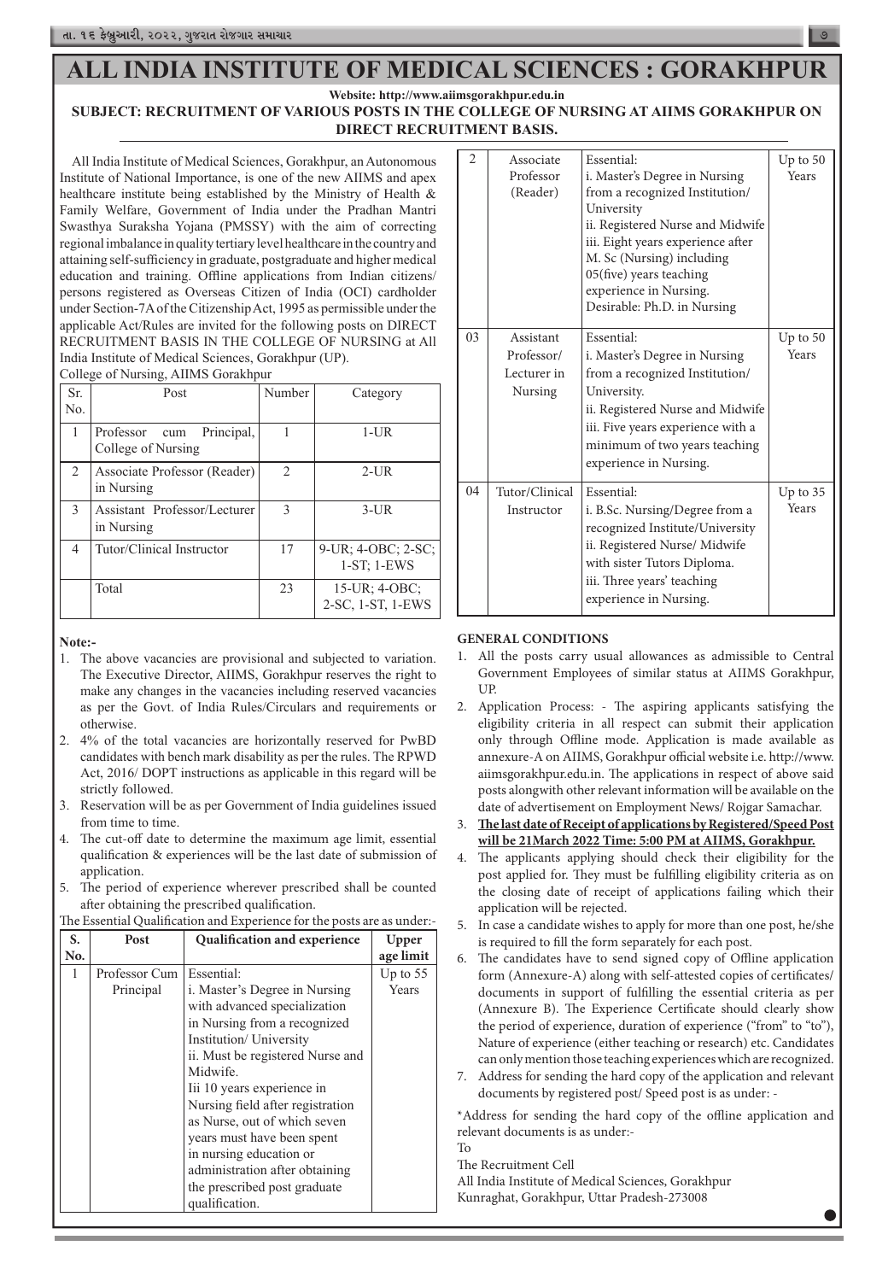# **ALL INDIA INSTITUTE OF MEDICAL SCIENCES : GORAKHPUR**

**Website: http://www.aiimsgorakhpur.edu.in**

## **SUBJECT: RECRUITMENT OF VARIOUS POSTS IN THE COLLEGE OF NURSING AT AIIMS GORAKHPUR ON DIRECT RECRUITMENT BASIS.**

 All India Institute of Medical Sciences, Gorakhpur, an Autonomous Institute of National Importance, is one of the new AIIMS and apex healthcare institute being established by the Ministry of Health & Family Welfare, Government of India under the Pradhan Mantri Swasthya Suraksha Yojana (PMSSY) with the aim of correcting regional imbalance in quality tertiary level healthcare in the country and attaining self-sufficiency in graduate, postgraduate and higher medical education and training. Offline applications from Indian citizens/ persons registered as Overseas Citizen of India (OCI) cardholder under Section-7A of the Citizenship Act, 1995 as permissible under the applicable Act/Rules are invited for the following posts on DIRECT RECRUITMENT BASIS IN THE COLLEGE OF NURSING at All India Institute of Medical Sciences, Gorakhpur (UP).

- 1. The above vacancies are provisional and subjected to variation. The Executive Director, AIIMS, Gorakhpur reserves the right to make any changes in the vacancies including reserved vacancies as per the Govt. of India Rules/Circulars and requirements or otherwise.
- 2. 4% of the total vacancies are horizontally reserved for PwBD candidates with bench mark disability as per the rules. The RPWD Act, 2016/ DOPT instructions as applicable in this regard will be strictly followed.
- 3. Reservation will be as per Government of India guidelines issued from time to time.
- 4. The cut-off date to determine the maximum age limit, essential qualification & experiences will be the last date of submission of application.
- 5. The period of experience wherever prescribed shall be counted after obtaining the prescribed qualification.

The Essential Qualification and Experience for the posts are as under:-

College of Nursing, AIIMS Gorakhpur

| Sr.            | Post                           | Number         | Category            |  |  |
|----------------|--------------------------------|----------------|---------------------|--|--|
| No.            |                                |                |                     |  |  |
| 1              | Principal,<br>Professor<br>cum |                | $1$ -UR             |  |  |
|                | College of Nursing             |                |                     |  |  |
| $\overline{2}$ | Associate Professor (Reader)   | $\overline{2}$ | $2$ -UR             |  |  |
|                | in Nursing                     |                |                     |  |  |
| 3              | Assistant Professor/Lecturer   | 3              | $3$ -UR             |  |  |
|                | in Nursing                     |                |                     |  |  |
| $\overline{4}$ | Tutor/Clinical Instructor      | 17             | 9-UR; 4-OBC; 2-SC;  |  |  |
|                |                                |                | $1-ST$ ; $1-EWS$    |  |  |
|                | Total                          | 23             | $15$ -UR; $4$ -OBC; |  |  |
|                |                                |                | 2-SC, 1-ST, 1-EWS   |  |  |
|                |                                |                |                     |  |  |

### **Note:-**

- 1. All the posts carry usual allowances as admissible to Central Government Employees of similar status at AIIMS Gorakhpur, UP.
- 2. Application Process: The aspiring applicants satisfying the eligibility criteria in all respect can submit their application only through Offline mode. Application is made available as annexure-A on AIIMS, Gorakhpur official website i.e. http://www. aiimsgorakhpur.edu.in. The applications in respect of above said posts alongwith other relevant information will be available on the date of advertisement on Employment News/ Rojgar Samachar.
- 3. The last date of Receipt of applications by Registered/Speed Post **will be 21March 2022 Time: 5:00 PM at AIIMS, Gorakhpur.**
- 4. The applicants applying should check their eligibility for the post applied for. They must be fulfilling eligibility criteria as on the closing date of receipt of applications failing which their application will be rejected.
- 5. In case a candidate wishes to apply for more than one post, he/she is required to fill the form separately for each post.

|  | Post | <b>Qualification and experience</b> | Upper |
|--|------|-------------------------------------|-------|

| No. |               |                                  | age limit  |
|-----|---------------|----------------------------------|------------|
|     | Professor Cum | Essential:                       | Up to $55$ |
|     | Principal     | i. Master's Degree in Nursing    | Years      |
|     |               | with advanced specialization     |            |
|     |               | in Nursing from a recognized     |            |
|     |               | Institution/ University          |            |
|     |               | ii. Must be registered Nurse and |            |
|     |               | Midwife.                         |            |
|     |               | Iii 10 years experience in       |            |
|     |               | Nursing field after registration |            |
|     |               | as Nurse, out of which seven     |            |
|     |               | years must have been spent       |            |
|     |               | in nursing education or          |            |
|     |               | administration after obtaining   |            |
|     |               | the prescribed post graduate     |            |
|     |               | qualification.                   |            |

- 6. The candidates have to send signed copy of Offline application form (Annexure-A) along with self-attested copies of certificates/ documents in support of fulfilling the essential criteria as per (Annexure B). The Experience Certificate should clearly show the period of experience, duration of experience ("from" to "to"), Nature of experience (either teaching or research) etc. Candidates can only mention those teaching experiences which are recognized. 7. Address for sending the hard copy of the application and relevant
- documents by registered post/ Speed post is as under: -

\*Address for sending the hard copy of the offline application and relevant documents is as under:-

The Recruitment Cell All India Institute of Medical Sciences, Gorakhpur Kunraghat, Gorakhpur, Uttar Pradesh-273008

| $\overline{2}$ | Associate<br>Professor<br>(Reader)                       | Essential:<br>i. Master's Degree in Nursing<br>from a recognized Institution/<br>University<br>ii. Registered Nurse and Midwife<br>iii. Eight years experience after<br>M. Sc (Nursing) including<br>$05$ (five) years teaching<br>experience in Nursing.<br>Desirable: Ph.D. in Nursing | Up to $50$<br>Years |
|----------------|----------------------------------------------------------|------------------------------------------------------------------------------------------------------------------------------------------------------------------------------------------------------------------------------------------------------------------------------------------|---------------------|
| 03             | Assistant<br>Professor/<br>Lecturer in<br><b>Nursing</b> | Essential:<br>i. Master's Degree in Nursing<br>from a recognized Institution/<br>University.<br>ii. Registered Nurse and Midwife<br>iii. Five years experience with a<br>minimum of two years teaching<br>experience in Nursing.                                                         | Up to $50$<br>Years |
| 04             | Tutor/Clinical<br>Instructor                             | Essential:<br>i. B.Sc. Nursing/Degree from a<br>recognized Institute/University<br>ii. Registered Nurse/ Midwife<br>with sister Tutors Diploma.<br>iii. Three years' teaching<br>experience in Nursing.                                                                                  | Up to 35<br>Years   |

### **GENERAL CONDITIONS**

To